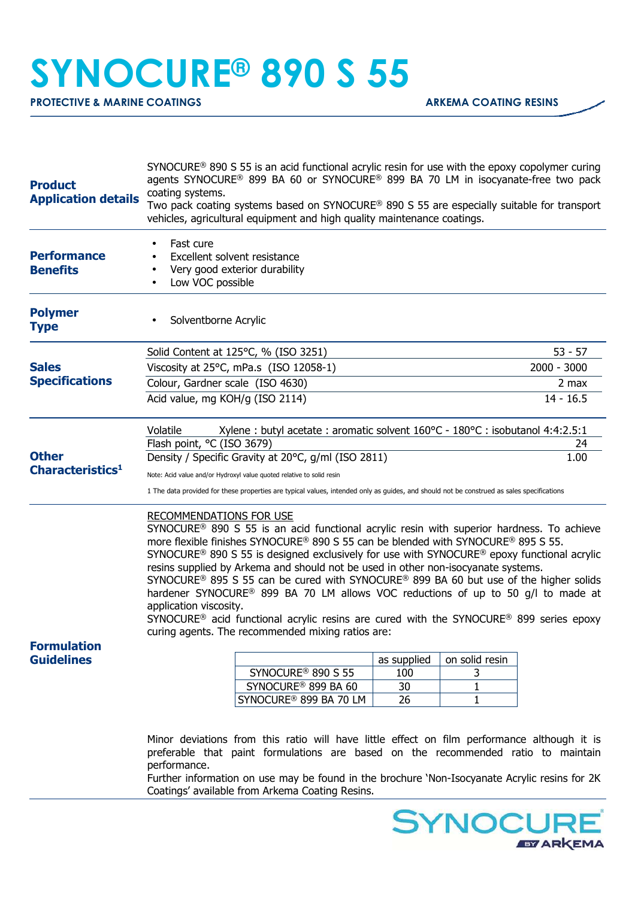## **SYNOCURE® 890 S 55**

**PROTECTIVE & MARINE COATINGS ARKEMA COATING RESINS** 

| <b>Product</b><br><b>Application details</b> | $SYNOCURE^@$ 890 S 55 is an acid functional acrylic resin for use with the epoxy copolymer curing<br>agents SYNOCURE® 899 BA 60 or SYNOCURE® 899 BA 70 LM in isocyanate-free two pack<br>coating systems.<br>Two pack coating systems based on SYNOCURE® 890 S 55 are especially suitable for transport<br>vehicles, agricultural equipment and high quality maintenance coatings.                                                                                                                                                                                                                                                                                                                                                                                                                                                                     |                    |                     |               |  |
|----------------------------------------------|--------------------------------------------------------------------------------------------------------------------------------------------------------------------------------------------------------------------------------------------------------------------------------------------------------------------------------------------------------------------------------------------------------------------------------------------------------------------------------------------------------------------------------------------------------------------------------------------------------------------------------------------------------------------------------------------------------------------------------------------------------------------------------------------------------------------------------------------------------|--------------------|---------------------|---------------|--|
| <b>Performance</b><br><b>Benefits</b>        | Fast cure<br>Excellent solvent resistance<br>Very good exterior durability<br>Low VOC possible                                                                                                                                                                                                                                                                                                                                                                                                                                                                                                                                                                                                                                                                                                                                                         |                    |                     |               |  |
| <b>Polymer</b><br><b>Type</b>                | Solventborne Acrylic                                                                                                                                                                                                                                                                                                                                                                                                                                                                                                                                                                                                                                                                                                                                                                                                                                   |                    |                     |               |  |
| <b>Sales</b><br><b>Specifications</b>        | Solid Content at 125°C, % (ISO 3251)                                                                                                                                                                                                                                                                                                                                                                                                                                                                                                                                                                                                                                                                                                                                                                                                                   |                    |                     | $53 - 57$     |  |
|                                              | Viscosity at 25°C, mPa.s (ISO 12058-1)                                                                                                                                                                                                                                                                                                                                                                                                                                                                                                                                                                                                                                                                                                                                                                                                                 |                    |                     | $2000 - 3000$ |  |
|                                              | Colour, Gardner scale (ISO 4630)                                                                                                                                                                                                                                                                                                                                                                                                                                                                                                                                                                                                                                                                                                                                                                                                                       |                    |                     | 2 max         |  |
|                                              | Acid value, mg KOH/g (ISO 2114)                                                                                                                                                                                                                                                                                                                                                                                                                                                                                                                                                                                                                                                                                                                                                                                                                        |                    |                     | $14 - 16.5$   |  |
|                                              | Xylene : butyl acetate : aromatic solvent 160°C - 180°C : isobutanol 4:4:2.5:1<br>Volatile                                                                                                                                                                                                                                                                                                                                                                                                                                                                                                                                                                                                                                                                                                                                                             |                    |                     |               |  |
|                                              | Flash point, °C (ISO 3679)                                                                                                                                                                                                                                                                                                                                                                                                                                                                                                                                                                                                                                                                                                                                                                                                                             |                    |                     | 24            |  |
| <b>Other</b><br>Characteristics <sup>1</sup> | Density / Specific Gravity at 20°C, g/ml (ISO 2811)                                                                                                                                                                                                                                                                                                                                                                                                                                                                                                                                                                                                                                                                                                                                                                                                    |                    |                     | 1.00          |  |
|                                              | Note: Acid value and/or Hydroxyl value quoted relative to solid resin                                                                                                                                                                                                                                                                                                                                                                                                                                                                                                                                                                                                                                                                                                                                                                                  |                    |                     |               |  |
|                                              | 1 The data provided for these properties are typical values, intended only as guides, and should not be construed as sales specifications                                                                                                                                                                                                                                                                                                                                                                                                                                                                                                                                                                                                                                                                                                              |                    |                     |               |  |
| <b>Formulation</b>                           | <b>RECOMMENDATIONS FOR USE</b><br>SYNOCURE <sup>®</sup> 890 S 55 is an acid functional acrylic resin with superior hardness. To achieve<br>more flexible finishes SYNOCURE® 890 S 55 can be blended with SYNOCURE® 895 S 55.<br>$SYNOCURE^{\circ}$ 890 S 55 is designed exclusively for use with SYNOCURE <sup>®</sup> epoxy functional acrylic<br>resins supplied by Arkema and should not be used in other non-isocyanate systems.<br>SYNOCURE <sup>®</sup> 895 S 55 can be cured with SYNOCURE <sup>®</sup> 899 BA 60 but use of the higher solids<br>hardener SYNOCURE <sup>®</sup> 899 BA 70 LM allows VOC reductions of up to 50 g/l to made at<br>application viscosity.<br>SYNOCURE <sup>®</sup> acid functional acrylic resins are cured with the SYNOCURE <sup>®</sup> 899 series epoxy<br>curing agents. The recommended mixing ratios are: |                    |                     |               |  |
| <b>Guidelines</b>                            | SYNOCURE <sup>®</sup> 890 S 55                                                                                                                                                                                                                                                                                                                                                                                                                                                                                                                                                                                                                                                                                                                                                                                                                         | as supplied<br>100 | on solid resin<br>3 |               |  |
|                                              | SYNOCURE <sup>®</sup> 899 BA 60                                                                                                                                                                                                                                                                                                                                                                                                                                                                                                                                                                                                                                                                                                                                                                                                                        | 30                 | 1                   |               |  |
|                                              | SYNOCURE <sup>®</sup> 899 BA 70 LM                                                                                                                                                                                                                                                                                                                                                                                                                                                                                                                                                                                                                                                                                                                                                                                                                     | 26                 | $\mathbf{1}$        |               |  |
|                                              | Minor deviations from this ratio will have little effect on film performance although it is<br>preferable that paint formulations are based on the recommended ratio to maintain<br>performance.<br>Further information on use may be found in the brochure 'Non-Isocyanate Acrylic resins for 2K<br>Coatings' available from Arkema Coating Resins.                                                                                                                                                                                                                                                                                                                                                                                                                                                                                                   |                    |                     |               |  |